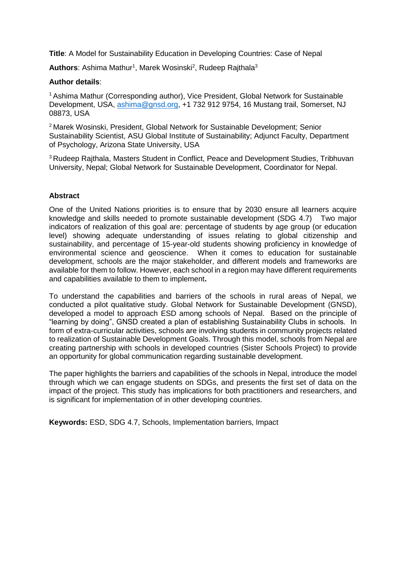**Title**: A Model for Sustainability Education in Developing Countries: Case of Nepal

Authors: Ashima Mathur<sup>1</sup>, Marek Wosinski<sup>2</sup>, Rudeep Rajthala<sup>3</sup>

### **Author details**:

<sup>1</sup> Ashima Mathur (Corresponding author), Vice President, Global Network for Sustainable Development, USA, [ashima@gnsd.org,](mailto:ashima@gnsd.org) +1 732 912 9754, 16 Mustang trail, Somerset, NJ 08873, USA

<sup>2</sup>Marek Wosinski, President, Global Network for Sustainable Development; Senior Sustainability Scientist, ASU Global Institute of Sustainability; Adjunct Faculty, Department of Psychology, Arizona State University, USA

<sup>3</sup> Rudeep Rajthala, Masters Student in Conflict, Peace and Development Studies, Tribhuvan University, Nepal; Global Network for Sustainable Development, Coordinator for Nepal.

### **Abstract**

One of the United Nations priorities is to ensure that by 2030 ensure all learners acquire knowledge and skills needed to promote sustainable development (SDG 4.7) Two major indicators of realization of this goal are: percentage of students by age group (or education level) showing adequate understanding of issues relating to global citizenship and sustainability, and percentage of 15-year-old students showing proficiency in knowledge of environmental science and geoscience. When it comes to education for sustainable development, schools are the major stakeholder, and different models and frameworks are available for them to follow. However, each school in a region may have different requirements and capabilities available to them to implement**.**

To understand the capabilities and barriers of the schools in rural areas of Nepal, we conducted a pilot qualitative study. Global Network for Sustainable Development (GNSD), developed a model to approach ESD among schools of Nepal. Based on the principle of "learning by doing", GNSD created a plan of establishing Sustainability Clubs in schools. In form of extra-curricular activities, schools are involving students in community projects related to realization of Sustainable Development Goals. Through this model, schools from Nepal are creating partnership with schools in developed countries (Sister Schools Project) to provide an opportunity for global communication regarding sustainable development.

The paper highlights the barriers and capabilities of the schools in Nepal, introduce the model through which we can engage students on SDGs, and presents the first set of data on the impact of the project. This study has implications for both practitioners and researchers, and is significant for implementation of in other developing countries.

**Keywords:** ESD, SDG 4.7, Schools, Implementation barriers, Impact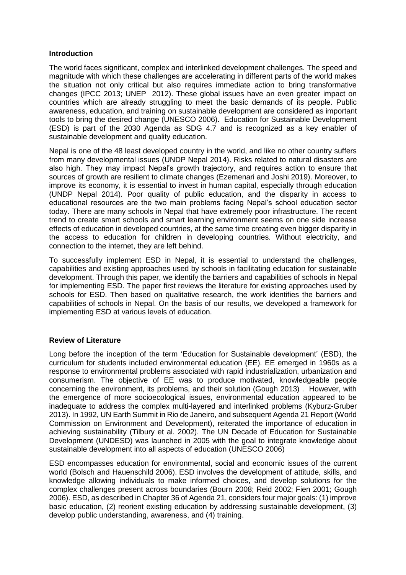### **Introduction**

The world faces significant, complex and interlinked development challenges. The speed and magnitude with which these challenges are accelerating in different parts of the world makes the situation not only critical but also requires immediate action to bring transformative changes (IPCC 2013; UNEP 2012). These global issues have an even greater impact on countries which are already struggling to meet the basic demands of its people. Public awareness, education, and training on sustainable development are considered as important tools to bring the desired change (UNESCO 2006). Education for Sustainable Development (ESD) is part of the 2030 Agenda as SDG 4.7 and is recognized as a key enabler of sustainable development and quality education.

Nepal is one of the 48 least developed country in the world, and like no other country suffers from many developmental issues (UNDP Nepal 2014). Risks related to natural disasters are also high. They may impact Nepal's growth trajectory, and requires action to ensure that sources of growth are resilient to climate changes (Ezemenari and Joshi 2019). Moreover, to improve its economy, it is essential to invest in human capital, especially through education (UNDP Nepal 2014). Poor quality of public education, and the disparity in access to educational resources are the two main problems facing Nepal's school education sector today. There are many schools in Nepal that have extremely poor infrastructure. The recent trend to create smart schools and smart learning environment seems on one side increase effects of education in developed countries, at the same time creating even bigger disparity in the access to education for children in developing countries. Without electricity, and connection to the internet, they are left behind.

To successfully implement ESD in Nepal, it is essential to understand the challenges, capabilities and existing approaches used by schools in facilitating education for sustainable development. Through this paper, we identify the barriers and capabilities of schools in Nepal for implementing ESD. The paper first reviews the literature for existing approaches used by schools for ESD. Then based on qualitative research, the work identifies the barriers and capabilities of schools in Nepal. On the basis of our results, we developed a framework for implementing ESD at various levels of education.

## **Review of Literature**

Long before the inception of the term 'Education for Sustainable development' (ESD), the curriculum for students included environmental education (EE). EE emerged in 1960s as a response to environmental problems associated with rapid industrialization, urbanization and consumerism. The objective of EE was to produce motivated, knowledgeable people concerning the environment, its problems, and their solution (Gough 2013) . However, with the emergence of more socioecological issues, environmental education appeared to be inadequate to address the complex multi-layered and interlinked problems (Kyburz-Gruber 2013). In 1992, UN Earth Summit in Rio de Janeiro, and subsequent Agenda 21 Report (World Commission on Environment and Development), reiterated the importance of education in achieving sustainability (Tilbury et al. 2002). The UN Decade of Education for Sustainable Development (UNDESD) was launched in 2005 with the goal to integrate knowledge about sustainable development into all aspects of education (UNESCO 2006)

ESD encompasses education for environmental, social and economic issues of the current world (Bolsch and Hauenschild 2006). ESD involves the development of attitude, skills, and knowledge allowing individuals to make informed choices, and develop solutions for the complex challenges present across boundaries (Bourn 2008; Reid 2002; Fien 2001; Gough 2006). ESD, as described in Chapter 36 of Agenda 21, considers four major goals: (1) improve basic education, (2) reorient existing education by addressing sustainable development, (3) develop public understanding, awareness, and (4) training.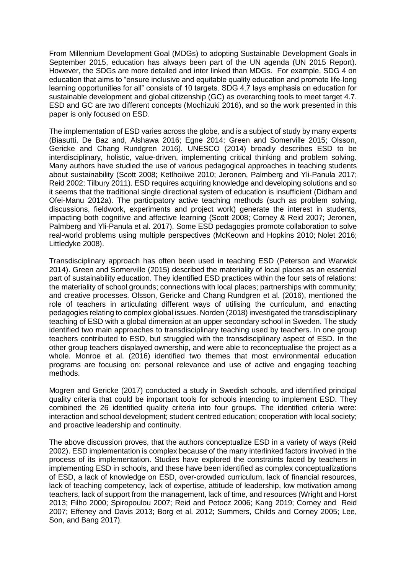From Millennium Development Goal (MDGs) to adopting Sustainable Development Goals in September 2015, education has always been part of the UN agenda (UN 2015 Report). However, the SDGs are more detailed and inter linked than MDGs. For example, SDG 4 on education that aims to "ensure inclusive and equitable quality education and promote life-long learning opportunities for all" consists of 10 targets. SDG 4.7 lays emphasis on education for sustainable development and global citizenship (GC) as overarching tools to meet target 4.7. ESD and GC are two different concepts (Mochizuki 2016), and so the work presented in this paper is only focused on ESD.

The implementation of ESD varies across the globe, and is a subject of study by many experts (Biasutti, De Baz and, Alshawa 2016; Egne 2014; Green and Somerville 2015; Olsson, Gericke and Chang Rundgren 2016). UNESCO (2014) broadly describes ESD to be interdisciplinary, holistic, value-driven, implementing critical thinking and problem solving. Many authors have studied the use of various pedagogical approaches in teaching students about sustainability (Scott 2008; Ketlhoilwe 2010; Jeronen, Palmberg and Yli-Panula 2017; Reid 2002; Tilbury 2011). ESD requires acquiring knowledge and developing solutions and so it seems that the traditional single directional system of education is insufficient (Didham and Ofei-Manu 2012a). The participatory active teaching methods (such as problem solving, discussions, fieldwork, experiments and project work) generate the interest in students, impacting both cognitive and affective learning (Scott 2008; Corney & Reid 2007; Jeronen, Palmberg and Yli-Panula et al. 2017). Some ESD pedagogies promote collaboration to solve real-world problems using multiple perspectives (McKeown and Hopkins 2010; Nolet 2016; Littledyke 2008).

Transdisciplinary approach has often been used in teaching ESD (Peterson and Warwick 2014). Green and Somerville (2015) described the materiality of local places as an essential part of sustainability education. They identified ESD practices within the four sets of relations: the materiality of school grounds; connections with local places; partnerships with community; and creative processes. Olsson, Gericke and Chang Rundgren et al. (2016), mentioned the role of teachers in articulating different ways of utilising the curriculum, and enacting pedagogies relating to complex global issues. Norden (2018) investigated the transdisciplinary teaching of ESD with a global dimension at an upper secondary school in Sweden. The study identified two main approaches to transdisciplinary teaching used by teachers. In one group teachers contributed to ESD, but struggled with the transdisciplinary aspect of ESD. In the other group teachers displayed ownership, and were able to reconceptualise the project as a whole. Monroe et al. (2016) identified two themes that most environmental education programs are focusing on: personal relevance and use of active and engaging teaching methods.

Mogren and Gericke (2017) conducted a study in Swedish schools, and identified principal quality criteria that could be important tools for schools intending to implement ESD. They combined the 26 identified quality criteria into four groups. The identified criteria were: interaction and school development; student centred education; cooperation with local society; and proactive leadership and continuity.

The above discussion proves, that the authors conceptualize ESD in a variety of ways (Reid 2002). ESD implementation is complex because of the many interlinked factors involved in the process of its implementation. Studies have explored the constraints faced by teachers in implementing ESD in schools, and these have been identified as complex conceptualizations of ESD, a lack of knowledge on ESD, over-crowded curriculum, lack of financial resources, lack of teaching competency, lack of expertise, attitude of leadership, low motivation among teachers, lack of support from the management, lack of time, and resources (Wright and Horst 2013; Filho 2000; Spiropoulou 2007; Reid and Petocz 2006; Kang 2019; Corney and Reid 2007; Effeney and Davis 2013; Borg et al. 2012; Summers, Childs and Corney 2005; Lee, Son, and Bang 2017).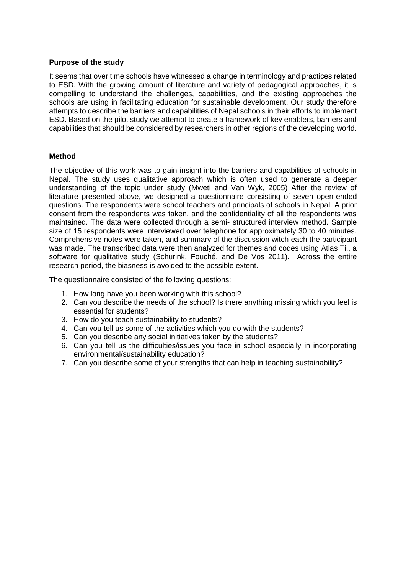# **Purpose of the study**

It seems that over time schools have witnessed a change in terminology and practices related to ESD. With the growing amount of literature and variety of pedagogical approaches, it is compelling to understand the challenges, capabilities, and the existing approaches the schools are using in facilitating education for sustainable development. Our study therefore attempts to describe the barriers and capabilities of Nepal schools in their efforts to implement ESD. Based on the pilot study we attempt to create a framework of key enablers, barriers and capabilities that should be considered by researchers in other regions of the developing world.

## **Method**

The objective of this work was to gain insight into the barriers and capabilities of schools in Nepal. The study uses qualitative approach which is often used to generate a deeper understanding of the topic under study (Mweti and Van Wyk, 2005) After the review of literature presented above, we designed a questionnaire consisting of seven open-ended questions. The respondents were school teachers and principals of schools in Nepal. A prior consent from the respondents was taken, and the confidentiality of all the respondents was maintained. The data were collected through a semi- structured interview method. Sample size of 15 respondents were interviewed over telephone for approximately 30 to 40 minutes. Comprehensive notes were taken, and summary of the discussion witch each the participant was made. The transcribed data were then analyzed for themes and codes using Atlas Ti., a software for qualitative study (Schurink, Fouché, and De Vos 2011). Across the entire research period, the biasness is avoided to the possible extent.

The questionnaire consisted of the following questions:

- 1. How long have you been working with this school?
- 2. Can you describe the needs of the school? Is there anything missing which you feel is essential for students?
- 3. How do you teach sustainability to students?
- 4. Can you tell us some of the activities which you do with the students?
- 5. Can you describe any social initiatives taken by the students?
- 6. Can you tell us the difficulties/issues you face in school especially in incorporating environmental/sustainability education?
- 7. Can you describe some of your strengths that can help in teaching sustainability?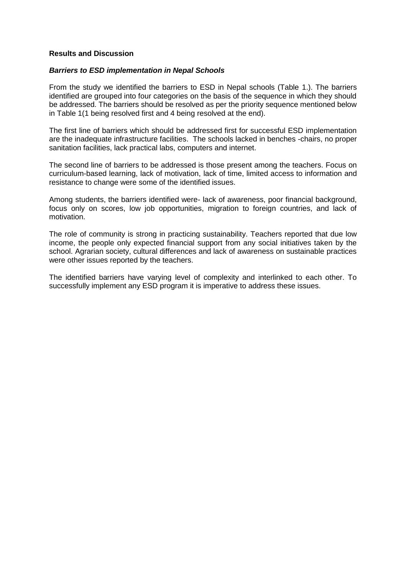#### **Results and Discussion**

### *Barriers to ESD implementation in Nepal Schools*

From the study we identified the barriers to ESD in Nepal schools (Table 1.). The barriers identified are grouped into four categories on the basis of the sequence in which they should be addressed. The barriers should be resolved as per the priority sequence mentioned below in Table 1(1 being resolved first and 4 being resolved at the end).

The first line of barriers which should be addressed first for successful ESD implementation are the inadequate infrastructure facilities. The schools lacked in benches -chairs, no proper sanitation facilities, lack practical labs, computers and internet.

The second line of barriers to be addressed is those present among the teachers. Focus on curriculum-based learning, lack of motivation, lack of time, limited access to information and resistance to change were some of the identified issues.

Among students, the barriers identified were- lack of awareness, poor financial background, focus only on scores, low job opportunities, migration to foreign countries, and lack of motivation.

The role of community is strong in practicing sustainability. Teachers reported that due low income, the people only expected financial support from any social initiatives taken by the school. Agrarian society, cultural differences and lack of awareness on sustainable practices were other issues reported by the teachers.

The identified barriers have varying level of complexity and interlinked to each other. To successfully implement any ESD program it is imperative to address these issues.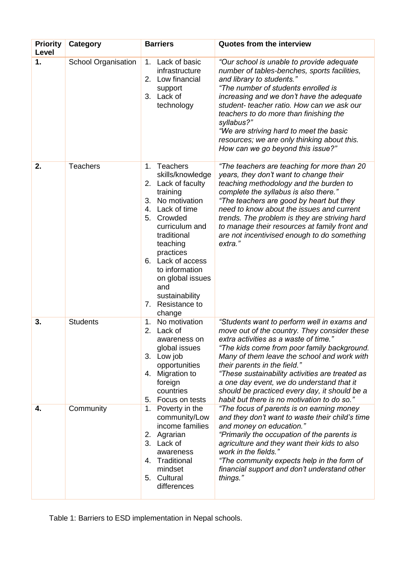| <b>Priority</b><br>Level | <b>Category</b>            | <b>Barriers</b>                                                                                                                                                                                                                                                                                                    | <b>Quotes from the interview</b>                                                                                                                                                                                                                                                                                                                                                                                                                                   |
|--------------------------|----------------------------|--------------------------------------------------------------------------------------------------------------------------------------------------------------------------------------------------------------------------------------------------------------------------------------------------------------------|--------------------------------------------------------------------------------------------------------------------------------------------------------------------------------------------------------------------------------------------------------------------------------------------------------------------------------------------------------------------------------------------------------------------------------------------------------------------|
| 1.                       | <b>School Organisation</b> | Lack of basic<br>1.<br>infrastructure<br>Low financial<br>2.<br>support<br>3.<br>Lack of<br>technology                                                                                                                                                                                                             | "Our school is unable to provide adequate<br>number of tables-benches, sports facilities,<br>and library to students."<br>"The number of students enrolled is<br>increasing and we don't have the adequate<br>student- teacher ratio. How can we ask our<br>teachers to do more than finishing the<br>syllabus?"<br>"We are striving hard to meet the basic<br>resources; we are only thinking about this.<br>How can we go beyond this issue?"                    |
| 2.                       | <b>Teachers</b>            | <b>Teachers</b><br>1.<br>skills/knowledge<br>2. Lack of faculty<br>training<br>3. No motivation<br>Lack of time<br>4.<br>5.<br>Crowded<br>curriculum and<br>traditional<br>teaching<br>practices<br>6. Lack of access<br>to information<br>on global issues<br>and<br>sustainability<br>7. Resistance to<br>change | "The teachers are teaching for more than 20<br>years, they don't want to change their<br>teaching methodology and the burden to<br>complete the syllabus is also there."<br>"The teachers are good by heart but they<br>need to know about the issues and current<br>trends. The problem is they are striving hard<br>to manage their resources at family front and<br>are not incentivised enough to do something<br>extra."                                      |
| 3.                       | <b>Students</b>            | No motivation<br>1.<br>2.<br>Lack of<br>awareness on<br>global issues<br>3. Low job<br>opportunities<br>4. Migration to<br>foreign<br>countries<br>Focus on tests<br>5.                                                                                                                                            | "Students want to perform well in exams and<br>move out of the country. They consider these<br>extra activities as a waste of time."<br>"The kids come from poor family background.<br>Many of them leave the school and work with<br>their parents in the field."<br>"These sustainability activities are treated as<br>a one day event, we do understand that it<br>should be practiced every day, it should be a<br>habit but there is no motivation to do so." |
| 4.                       | Community                  | 1. Poverty in the<br>community/Low<br>income families<br>2. Agrarian<br>3. Lack of<br>awareness<br>4. Traditional<br>mindset<br>Cultural<br>5.<br>differences                                                                                                                                                      | "The focus of parents is on earning money<br>and they don't want to waste their child's time<br>and money on education."<br>"Primarily the occupation of the parents is<br>agriculture and they want their kids to also<br>work in the fields."<br>"The community expects help in the form of<br>financial support and don't understand other<br>things."                                                                                                          |

Table 1: Barriers to ESD implementation in Nepal schools.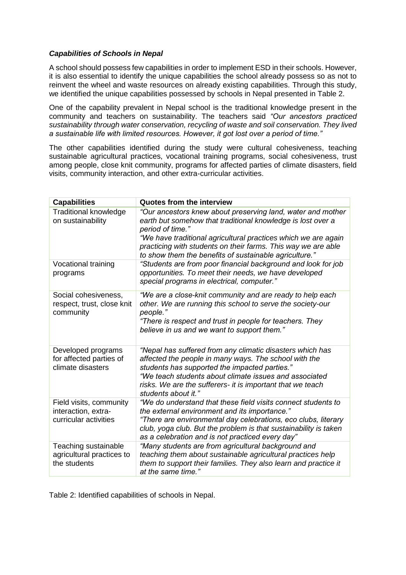# *Capabilities of Schools in Nepal*

A school should possess few capabilities in order to implement ESD in their schools. However, it is also essential to identify the unique capabilities the school already possess so as not to reinvent the wheel and waste resources on already existing capabilities. Through this study, we identified the unique capabilities possessed by schools in Nepal presented in Table 2.

One of the capability prevalent in Nepal school is the traditional knowledge present in the community and teachers on sustainability. The teachers said *"Our ancestors practiced sustainability through water conservation, recycling of waste and soil conservation. They lived a sustainable life with limited resources. However, it got lost over a period of time."*

The other capabilities identified during the study were cultural cohesiveness, teaching sustainable agricultural practices, vocational training programs, social cohesiveness, trust among people, close knit community, programs for affected parties of climate disasters, field visits, community interaction, and other extra-curricular activities.

| <b>Capabilities</b>                                                     | <b>Quotes from the interview</b>                                                                                                                                                                                                                                                                                                            |
|-------------------------------------------------------------------------|---------------------------------------------------------------------------------------------------------------------------------------------------------------------------------------------------------------------------------------------------------------------------------------------------------------------------------------------|
| <b>Traditional knowledge</b><br>on sustainability                       | "Our ancestors knew about preserving land, water and mother<br>earth but somehow that traditional knowledge is lost over a<br>period of time."<br>"We have traditional agricultural practices which we are again<br>practicing with students on their farms. This way we are able<br>to show them the benefits of sustainable agriculture." |
| <b>Vocational training</b><br>programs                                  | "Students are from poor financial background and look for job<br>opportunities. To meet their needs, we have developed<br>special programs in electrical, computer."                                                                                                                                                                        |
| Social cohesiveness,<br>respect, trust, close knit<br>community         | "We are a close-knit community and are ready to help each<br>other. We are running this school to serve the society-our<br>people."<br>"There is respect and trust in people for teachers. They<br>believe in us and we want to support them."                                                                                              |
| Developed programs<br>for affected parties of<br>climate disasters      | "Nepal has suffered from any climatic disasters which has<br>affected the people in many ways. The school with the<br>students has supported the impacted parties."<br>"We teach students about climate issues and associated<br>risks. We are the sufferers- it is important that we teach<br>students about it.'                          |
| Field visits, community<br>interaction, extra-<br>curricular activities | "We do understand that these field visits connect students to<br>the external environment and its importance."<br>"There are environmental day celebrations, eco clubs, literary<br>club, yoga club. But the problem is that sustainability is taken<br>as a celebration and is not practiced every day"                                    |
| Teaching sustainable<br>agricultural practices to<br>the students       | "Many students are from agricultural background and<br>teaching them about sustainable agricultural practices help<br>them to support their families. They also learn and practice it<br>at the same time."                                                                                                                                 |

Table 2: Identified capabilities of schools in Nepal.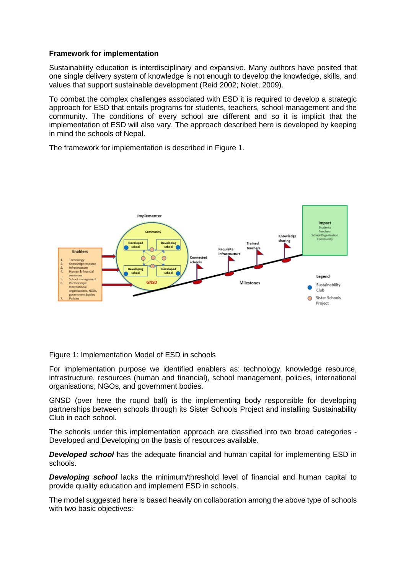### **Framework for implementation**

Sustainability education is interdisciplinary and expansive. Many authors have posited that one single delivery system of knowledge is not enough to develop the knowledge, skills, and values that support sustainable development (Reid 2002; Nolet, 2009).

To combat the complex challenges associated with ESD it is required to develop a strategic approach for ESD that entails programs for students, teachers, school management and the community. The conditions of every school are different and so it is implicit that the implementation of ESD will also vary. The approach described here is developed by keeping in mind the schools of Nepal.

The framework for implementation is described in Figure 1.



Figure 1: Implementation Model of ESD in schools

For implementation purpose we identified enablers as: technology, knowledge resource, infrastructure, resources (human and financial), school management, policies, international organisations, NGOs, and government bodies.

GNSD (over here the round ball) is the implementing body responsible for developing partnerships between schools through its Sister Schools Project and installing Sustainability Club in each school.

The schools under this implementation approach are classified into two broad categories - Developed and Developing on the basis of resources available.

*Developed school* has the adequate financial and human capital for implementing ESD in schools.

*Developing school* lacks the minimum/threshold level of financial and human capital to provide quality education and implement ESD in schools.

The model suggested here is based heavily on collaboration among the above type of schools with two basic objectives: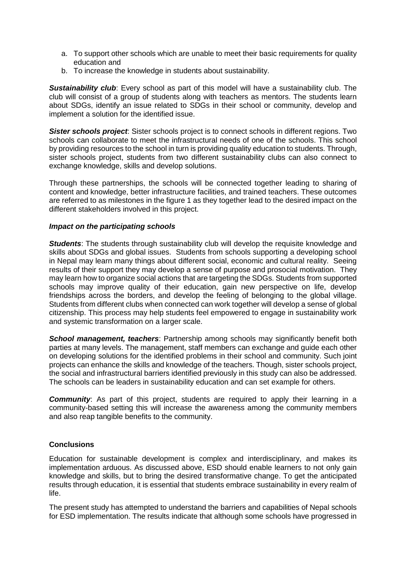- a. To support other schools which are unable to meet their basic requirements for quality education and
- b. To increase the knowledge in students about sustainability.

**Sustainability club**: Every school as part of this model will have a sustainability club. The club will consist of a group of students along with teachers as mentors. The students learn about SDGs, identify an issue related to SDGs in their school or community, develop and implement a solution for the identified issue.

*Sister schools project*: Sister schools project is to connect schools in different regions. Two schools can collaborate to meet the infrastructural needs of one of the schools. This school by providing resources to the school in turn is providing quality education to students. Through, sister schools project, students from two different sustainability clubs can also connect to exchange knowledge, skills and develop solutions.

Through these partnerships, the schools will be connected together leading to sharing of content and knowledge, better infrastructure facilities, and trained teachers. These outcomes are referred to as milestones in the figure 1 as they together lead to the desired impact on the different stakeholders involved in this project.

### *Impact on the participating schools*

**Students**: The students through sustainability club will develop the requisite knowledge and skills about SDGs and global issues. Students from schools supporting a developing school in Nepal may learn many things about different social, economic and cultural reality. Seeing results of their support they may develop a sense of purpose and prosocial motivation. They may learn how to organize social actions that are targeting the SDGs. Students from supported schools may improve quality of their education, gain new perspective on life, develop friendships across the borders, and develop the feeling of belonging to the global village. Students from different clubs when connected can work together will develop a sense of global citizenship. This process may help students feel empowered to engage in sustainability work and systemic transformation on a larger scale.

**School management, teachers:** Partnership among schools may significantly benefit both parties at many levels. The management, staff members can exchange and guide each other on developing solutions for the identified problems in their school and community. Such joint projects can enhance the skills and knowledge of the teachers. Though, sister schools project, the social and infrastructural barriers identified previously in this study can also be addressed. The schools can be leaders in sustainability education and can set example for others.

*Community*: As part of this project, students are required to apply their learning in a community-based setting this will increase the awareness among the community members and also reap tangible benefits to the community.

## **Conclusions**

Education for sustainable development is complex and interdisciplinary, and makes its implementation arduous. As discussed above, ESD should enable learners to not only gain knowledge and skills, but to bring the desired transformative change. To get the anticipated results through education, it is essential that students embrace sustainability in every realm of life.

The present study has attempted to understand the barriers and capabilities of Nepal schools for ESD implementation. The results indicate that although some schools have progressed in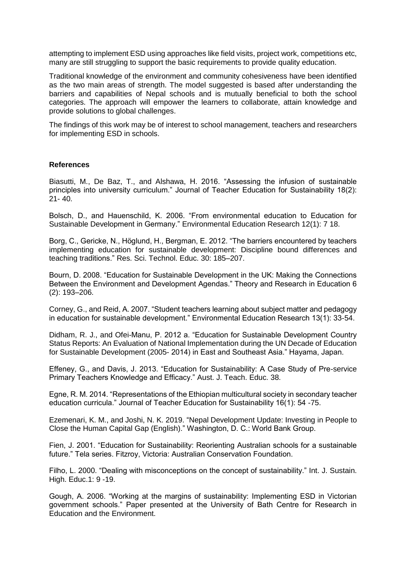attempting to implement ESD using approaches like field visits, project work, competitions etc, many are still struggling to support the basic requirements to provide quality education.

Traditional knowledge of the environment and community cohesiveness have been identified as the two main areas of strength. The model suggested is based after understanding the barriers and capabilities of Nepal schools and is mutually beneficial to both the school categories. The approach will empower the learners to collaborate, attain knowledge and provide solutions to global challenges.

The findings of this work may be of interest to school management, teachers and researchers for implementing ESD in schools.

#### **References**

Biasutti, M., De Baz, T., and Alshawa, H. 2016. "Assessing the infusion of sustainable principles into university curriculum." Journal of Teacher Education for Sustainability 18(2): 21- 40.

Bolsch, D., and Hauenschild, K. 2006. "From environmental education to Education for Sustainable Development in Germany." Environmental Education Research 12(1): 7 18.

Borg, C., Gericke, N., Höglund, H., Bergman, E. 2012. "The barriers encountered by teachers implementing education for sustainable development: Discipline bound differences and teaching traditions." Res. Sci. Technol. Educ. 30: 185–207.

Bourn, D. 2008. "Education for Sustainable Development in the UK: Making the Connections Between the Environment and Development Agendas." Theory and Research in Education 6 (2): 193–206.

Corney, G., and Reid, A. 2007. "Student teachers learning about subject matter and pedagogy in education for sustainable development." Environmental Education Research 13(1): 33-54.

Didham, R. J., and Ofei-Manu, P. 2012 a. "Education for Sustainable Development Country Status Reports: An Evaluation of National Implementation during the UN Decade of Education for Sustainable Development (2005- 2014) in East and Southeast Asia." Hayama, Japan.

Effeney, G., and Davis, J. 2013. "Education for Sustainability: A Case Study of Pre-service Primary Teachers Knowledge and Efficacy." Aust. J. Teach. Educ. 38.

Egne, R. M. 2014. "Representations of the Ethiopian multicultural society in secondary teacher education curricula." Journal of Teacher Education for Sustainability 16(1): 54 -75.

Ezemenari, K. M., and Joshi, N. K. 2019. "Nepal Development Update: Investing in People to Close the Human Capital Gap (English)." Washington, D. C.: World Bank Group.

Fien, J. 2001. "Education for Sustainability: Reorienting Australian schools for a sustainable future." Tela series. Fitzroy, Victoria: Australian Conservation Foundation.

Filho, L. 2000. "Dealing with misconceptions on the concept of sustainability." Int. J. Sustain. High. Educ.1: 9 -19.

Gough, A. 2006. "Working at the margins of sustainability: Implementing ESD in Victorian government schools." Paper presented at the University of Bath Centre for Research in Education and the Environment.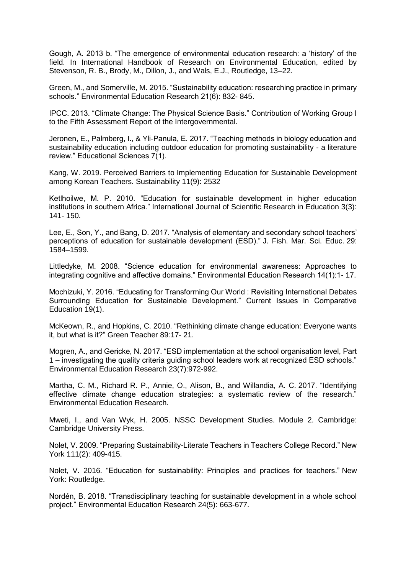Gough, A. 2013 b. "The emergence of environmental education research: a 'history' of the field. In International Handbook of Research on Environmental Education, edited by Stevenson, R. B., Brody, M., Dillon, J., and Wals, E.J., Routledge, 13–22.

Green, M., and Somerville, M. 2015. "Sustainability education: researching practice in primary schools." Environmental Education Research 21(6): 832- 845.

IPCC. 2013. "Climate Change: The Physical Science Basis." Contribution of Working Group I to the Fifth Assessment Report of the Intergovernmental.

Jeronen, E., Palmberg, I., & Yli-Panula, E. 2017. "Teaching methods in biology education and sustainability education including outdoor education for promoting sustainability - a literature review." Educational Sciences 7(1).

Kang, W. 2019. Perceived Barriers to Implementing Education for Sustainable Development among Korean Teachers. Sustainability 11(9): 2532

Ketlhoilwe, M. P. 2010. "Education for sustainable development in higher education institutions in southern Africa." International Journal of Scientific Research in Education 3(3): 141- 150.

Lee, E., Son, Y., and Bang, D. 2017. "Analysis of elementary and secondary school teachers' perceptions of education for sustainable development (ESD)." J. Fish. Mar. Sci. Educ. 29: 1584–1599.

Littledyke, M. 2008. "Science education for environmental awareness: Approaches to integrating cognitive and affective domains." Environmental Education Research 14(1):1- 17.

Mochizuki, Y. 2016. "Educating for Transforming Our World : Revisiting International Debates Surrounding Education for Sustainable Development." Current Issues in Comparative Education 19(1).

McKeown, R., and Hopkins, C. 2010. "Rethinking climate change education: Everyone wants it, but what is it?" Green Teacher 89:17- 21.

Mogren, A., and Gericke, N. 2017. "ESD implementation at the school organisation level, Part 1 – investigating the quality criteria guiding school leaders work at recognized ESD schools." Environmental Education Research 23(7):972-992.

Martha, C. M., Richard R. P., Annie, O., Alison, B., and Willandia, A. C. 2017. "Identifying effective climate change education strategies: a systematic review of the research." Environmental Education Research.

Mweti, I., and Van Wyk, H. 2005. NSSC Development Studies. Module 2. Cambridge: Cambridge University Press.

Nolet, V. 2009. "Preparing Sustainability-Literate Teachers in Teachers College Record." New York 111(2): 409-415.

Nolet, V. 2016. "Education for sustainability: Principles and practices for teachers." New York: Routledge.

Nordén, B. 2018. "Transdisciplinary teaching for sustainable development in a whole school project." Environmental Education Research 24(5): 663-677.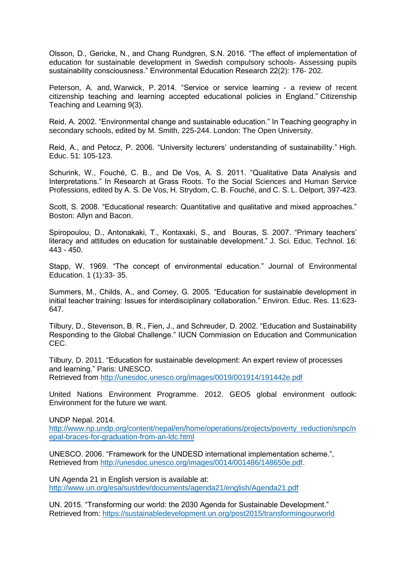Olsson, D., Gericke, N., and Chang Rundgren, S.N. 2016. "The effect of implementation of education for sustainable development in Swedish compulsory schools- Assessing pupils sustainability consciousness." Environmental Education Research 22(2): 176- 202.

Peterson, A. and, Warwick, P. 2014. "Service or service learning - a review of recent citizenship teaching and learning accepted educational policies in England." Citizenship Teaching and Learning 9(3).

Reid, A. 2002. "Environmental change and sustainable education." In Teaching geography in secondary schools, edited by M. Smith, 225-244. London: The Open University.

Reid, A., and Petocz, P. 2006. "University lecturers' understanding of sustainability." High. Educ. 51: 105-123.

Schurink, W., Fouché, C. B., and De Vos, A. S. 2011. "Qualitative Data Analysis and Interpretations." In Research at Grass Roots. To the Social Sciences and Human Service Professions, edited by A. S. De Vos, H. Strydom, C. B. Fouché, and C. S. L. Delport, 397-423.

Scott, S. 2008. "Educational research: Quantitative and qualitative and mixed approaches." Boston: Allyn and Bacon.

Spiropoulou, D., Antonakaki, T., Kontaxaki, S., and Bouras, S. 2007. "Primary teachers' literacy and attitudes on education for sustainable development." J. Sci. Educ. Technol. 16: 443 - 450.

Stapp, W. 1969. "The concept of environmental education." Journal of Environmental Education. 1 (1):33- 35.

Summers, M., Childs, A., and Corney, G. 2005. "Education for sustainable development in initial teacher training: Issues for interdisciplinary collaboration." Environ. Educ. Res. 11:623- 647.

Tilbury, D., Stevenson, B. R., Fien, J., and Schreuder, D. 2002. "Education and Sustainability Responding to the Global Challenge." IUCN Commission on Education and Communication CEC.

Tilbury, D. 2011. "Education for sustainable development: An expert review of processes and learning." Paris: UNESCO.

Retrieved from <http://unesdoc.unesco.org/images/0019/001914/191442e.pdf>

United Nations Environment Programme. 2012. GEO5 global environment outlook: Environment for the future we want.

UNDP Nepal. 2014.

[http://www.np.undp.org/content/nepal/en/home/operations/projects/poverty\\_reduction/snpc/n](http://www.np.undp.org/content/nepal/en/home/operations/projects/poverty_reduction/snpc/nepal-braces-for-graduation-from-an-ldc.html) [epal-braces-for-graduation-from-an-ldc.html](http://www.np.undp.org/content/nepal/en/home/operations/projects/poverty_reduction/snpc/nepal-braces-for-graduation-from-an-ldc.html)

UNESCO. 2006. "Framework for the UNDESD international implementation scheme.", Retrieved from [http://unesdoc.unesco.org/images/0014/001486/148650e.pdf.](http://unesdoc.unesco.org/images/0014/001486/148650e.pdf)

UN Agenda 21 in English version is available at: <http://www.un.org/esa/sustdev/documents/agenda21/english/Agenda21.pdf>

UN. 2015. "Transforming our world: the 2030 Agenda for Sustainable Development." Retrieved from:<https://sustainabledevelopment.un.org/post2015/transformingourworld>